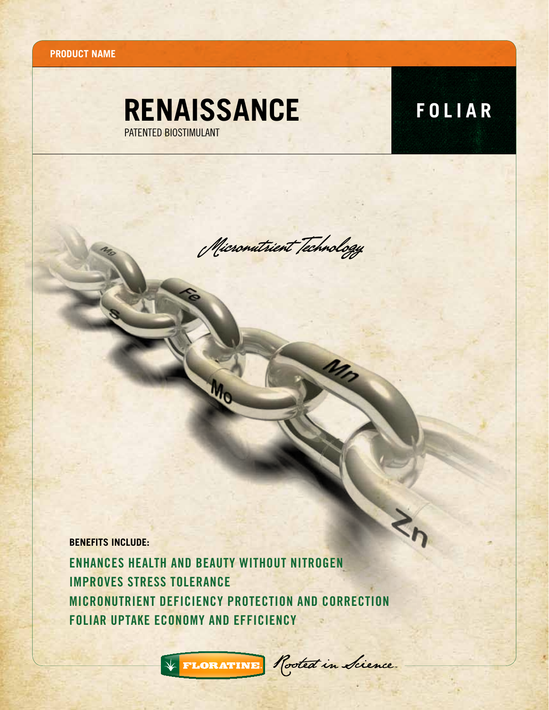**Product name**

## **RENAISSANCE FOLIAR** PATENTED BIOSTIMULANT

 $\mathbf{z}_i$ 

Micronutrient Technology

**BENEFITS INCLUDE:**

Enhances Health and Beauty WITHOUT NITROGEN Improves Stress Tolerance MICRONUTRIENT Deficiency Protection and Correction Foliar Uptake Economy and Efficiency